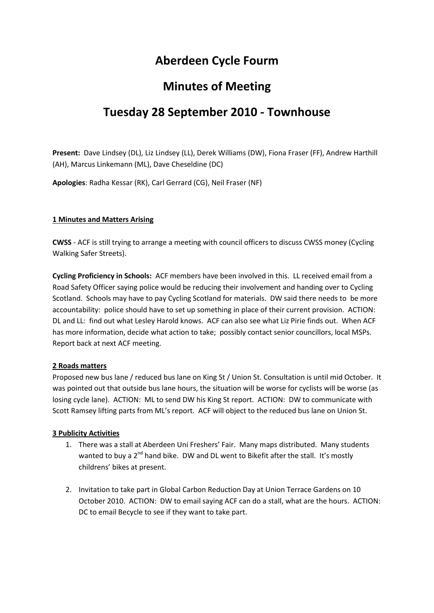### **Aberdeen Cycle Fourm**

## **Minutes of Meeting**

# **Tuesday 28 September 2010 - Townhouse**

**Present:** Dave Lindsey (DL), Liz Lindsey (LL), Derek Williams (DW), Fiona Fraser (FF), Andrew Harthill (AH), Marcus Linkemann (ML), Dave Cheseldine (DC)

**Apologies**: Radha Kessar (RK), Carl Gerrard (CG), Neil Fraser (NF)

#### **1 Minutes and Matters Arising**

**CWSS** - ACF is still trying to arrange a meeting with council officers to discuss CWSS money (Cycling Walking Safer Streets).

**Cycling Proficiency in Schools:** ACF members have been involved in this. LL received email from a Road Safety Officer saying police would be reducing their involvement and handing over to Cycling Scotland. Schools may have to pay Cycling Scotland for materials. DW said there needs to be more accountability: police should have to set up something in place of their current provision. ACTION: DL and LL: find out what Lesley Harold knows. ACF can also see what Liz Pirie finds out. When ACF has more information, decide what action to take; possibly contact senior councillors, local MSPs. Report back at next ACF meeting.

#### **2 Roads matters**

Proposed new bus lane / reduced bus lane on King St / Union St. Consultation is until mid October. It was pointed out that outside bus lane hours, the situation will be worse for cyclists will be worse (as losing cycle lane). ACTION: ML to send DW his King St report. ACTION: DW to communicate with Scott Ramsey lifting parts from ML's report. ACF will object to the reduced bus lane on Union St.

#### **3 Publicity Activities**

- 1. There was a stall at Aberdeen Uni Freshers' Fair. Many maps distributed. Many students wanted to buy a 2<sup>nd</sup> hand bike. DW and DL went to Bikefit after the stall. It's mostly childrens' bikes at present.
- 2. Invitation to take part in Global Carbon Reduction Day at Union Terrace Gardens on 10 October 2010. ACTION: DW to email saying ACF can do a stall, what are the hours. ACTION: DC to email Becycle to see if they want to take part.